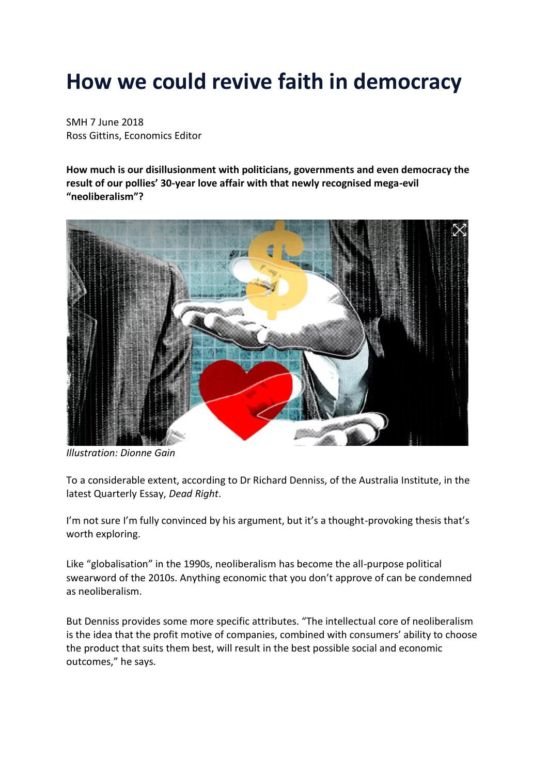## **How we could revive faith in democracy**

SMH 7 June 2018 Ross Gittins, Economics Editor

**How much is our disillusionment with politicians, governments and even democracy the result of our pollies' 30-year love affair with that newly recognised mega-evil "neoliberalism"?**



*Illustration: Dionne Gain*

To a considerable extent, according to Dr Richard Denniss, of the Australia Institute, in the latest Quarterly Essay, *Dead Right*.

I'm not sure I'm fully convinced by his argument, but it's a thought-provoking thesis that's worth exploring.

Like "globalisation" in the 1990s, neoliberalism has become the all-purpose political swearword of the 2010s. Anything economic that you don't approve of can be condemned as neoliberalism.

But Denniss provides some more specific attributes. "The intellectual core of neoliberalism is the idea that the profit motive of companies, combined with consumers' ability to choose the product that suits them best, will result in the best possible social and economic outcomes," he says.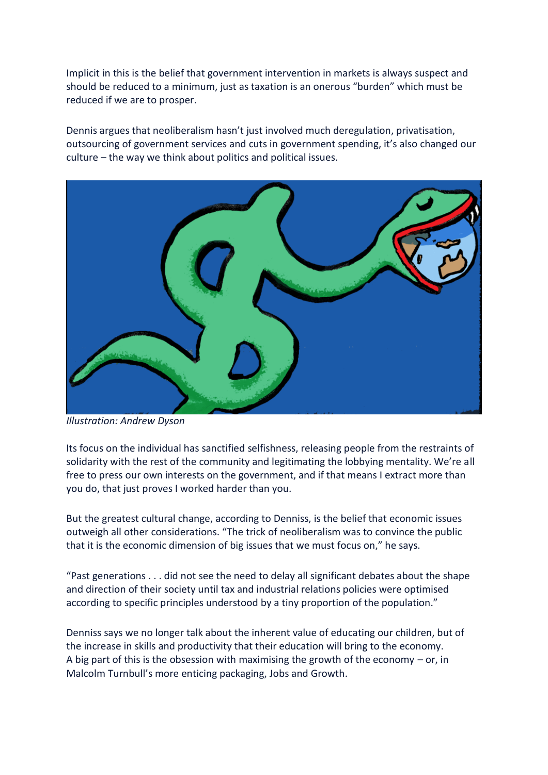Implicit in this is the belief that government intervention in markets is always suspect and should be reduced to a minimum, just as taxation is an onerous "burden" which must be reduced if we are to prosper.

Dennis argues that neoliberalism hasn't just involved much deregulation, privatisation, outsourcing of government services and cuts in government spending, it's also changed our culture – the way we think about politics and political issues.



*Illustration: Andrew Dyson*

Its focus on the individual has sanctified selfishness, releasing people from the restraints of solidarity with the rest of the community and legitimating the lobbying mentality. We're all free to press our own interests on the government, and if that means I extract more than you do, that just proves I worked harder than you.

But the greatest cultural change, according to Denniss, is the belief that economic issues outweigh all other considerations. "The trick of neoliberalism was to convince the public that it is the economic dimension of big issues that we must focus on," he says.

"Past generations . . . did not see the need to delay all significant debates about the shape and direction of their society until tax and industrial relations policies were optimised according to specific principles understood by a tiny proportion of the population."

Denniss says we no longer talk about the inherent value of educating our children, but of the increase in skills and productivity that their education will bring to the economy. A big part of this is the obsession with maximising the growth of the economy  $-$  or, in Malcolm Turnbull's more enticing packaging, Jobs and Growth.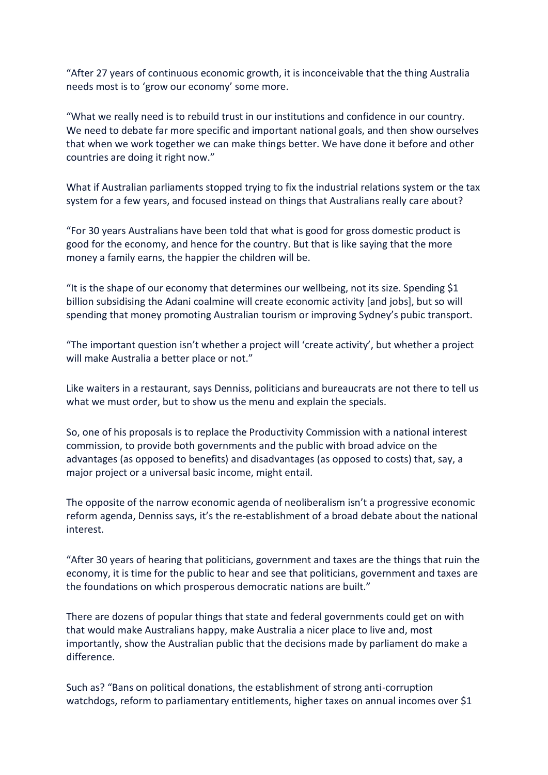"After 27 years of continuous economic growth, it is inconceivable that the thing Australia needs most is to 'grow our economy' some more.

"What we really need is to rebuild trust in our institutions and confidence in our country. We need to debate far more specific and important national goals, and then show ourselves that when we work together we can make things better. We have done it before and other countries are doing it right now."

What if Australian parliaments stopped trying to fix the industrial relations system or the tax system for a few years, and focused instead on things that Australians really care about?

"For 30 years Australians have been told that what is good for gross domestic product is good for the economy, and hence for the country. But that is like saying that the more money a family earns, the happier the children will be.

"It is the shape of our economy that determines our wellbeing, not its size. Spending \$1 billion subsidising the Adani coalmine will create economic activity [and jobs], but so will spending that money promoting Australian tourism or improving Sydney's pubic transport.

"The important question isn't whether a project will 'create activity', but whether a project will make Australia a better place or not."

Like waiters in a restaurant, says Denniss, politicians and bureaucrats are not there to tell us what we must order, but to show us the menu and explain the specials.

So, one of his proposals is to replace the Productivity Commission with a national interest commission, to provide both governments and the public with broad advice on the advantages (as opposed to benefits) and disadvantages (as opposed to costs) that, say, a major project or a universal basic income, might entail.

The opposite of the narrow economic agenda of neoliberalism isn't a progressive economic reform agenda, Denniss says, it's the re-establishment of a broad debate about the national interest.

"After 30 years of hearing that politicians, government and taxes are the things that ruin the economy, it is time for the public to hear and see that politicians, government and taxes are the foundations on which prosperous democratic nations are built."

There are dozens of popular things that state and federal governments could get on with that would make Australians happy, make Australia a nicer place to live and, most importantly, show the Australian public that the decisions made by parliament do make a difference.

Such as? "Bans on political donations, the establishment of strong anti-corruption watchdogs, reform to parliamentary entitlements, higher taxes on annual incomes over \$1